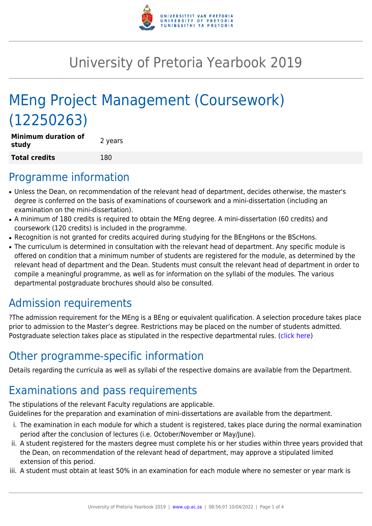

# University of Pretoria Yearbook 2019

# MEng Project Management (Coursework) (12250263)

| <b>Minimum duration of</b><br>study | 2 years |
|-------------------------------------|---------|
| <b>Total credits</b>                | 180     |

### Programme information

- Unless the Dean, on recommendation of the relevant head of department, decides otherwise, the master's degree is conferred on the basis of examinations of coursework and a mini-dissertation (including an examination on the mini-dissertation).
- A minimum of 180 credits is required to obtain the MEng degree. A mini-dissertation (60 credits) and coursework (120 credits) is included in the programme.
- Recognition is not granted for credits acquired during studying for the BEngHons or the BScHons.
- The curriculum is determined in consultation with the relevant head of department. Any specific module is offered on condition that a minimum number of students are registered for the module, as determined by the relevant head of department and the Dean. Students must consult the relevant head of department in order to compile a meaningful programme, as well as for information on the syllabi of the modules. The various departmental postgraduate brochures should also be consulted.

# Admission requirements

?The admission requirement for the MEng is a BEng or equivalent qualification. A selection procedure takes place prior to admission to the Master's degree. Restrictions may be placed on the number of students admitted. Postgraduate selection takes place as stipulated in the respective departmental rules. [\(click here](http://www.up.ac.za/gstm))

## Other programme-specific information

Details regarding the curricula as well as syllabi of the respective domains are available from the Department.

# Examinations and pass requirements

The stipulations of the relevant Faculty regulations are applicable.

Guidelines for the preparation and examination of mini-dissertations are available from the department.

- i. The examination in each module for which a student is registered, takes place during the normal examination period after the conclusion of lectures (i.e. October/November or May/June).
- ii. A student registered for the masters degree must complete his or her studies within three years provided that the Dean, on recommendation of the relevant head of department, may approve a stipulated limited extension of this period.
- iii. A student must obtain at least 50% in an examination for each module where no semester or year mark is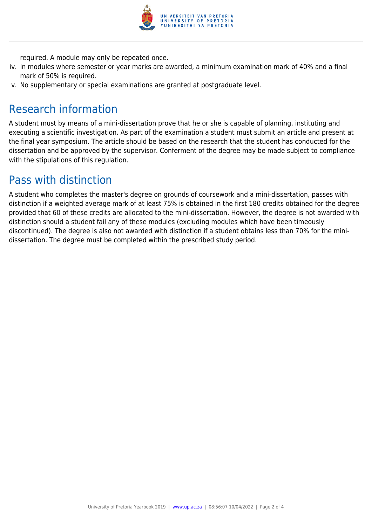

required. A module may only be repeated once.

- iv. In modules where semester or year marks are awarded, a minimum examination mark of 40% and a final mark of 50% is required.
- v. No supplementary or special examinations are granted at postgraduate level.

### Research information

A student must by means of a mini-dissertation prove that he or she is capable of planning, instituting and executing a scientific investigation. As part of the examination a student must submit an article and present at the final year symposium. The article should be based on the research that the student has conducted for the dissertation and be approved by the supervisor. Conferment of the degree may be made subject to compliance with the stipulations of this regulation.

#### Pass with distinction

A student who completes the master's degree on grounds of coursework and a mini-dissertation, passes with distinction if a weighted average mark of at least 75% is obtained in the first 180 credits obtained for the degree provided that 60 of these credits are allocated to the mini-dissertation. However, the degree is not awarded with distinction should a student fail any of these modules (excluding modules which have been timeously discontinued). The degree is also not awarded with distinction if a student obtains less than 70% for the minidissertation. The degree must be completed within the prescribed study period.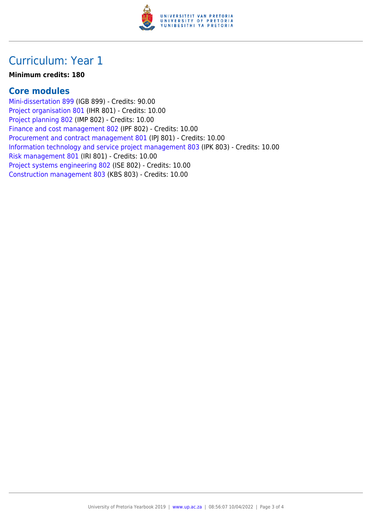

#### Curriculum: Year 1

#### **Minimum credits: 180**

#### **Core modules**

[Mini-dissertation 899](https://www.up.ac.za/faculty-of-education/yearbooks/2019/modules/view/IGB 899) (IGB 899) - Credits: 90.00 [Project organisation 801](https://www.up.ac.za/faculty-of-education/yearbooks/2019/modules/view/IHR 801) (IHR 801) - Credits: 10.00 [Project planning 802](https://www.up.ac.za/faculty-of-education/yearbooks/2019/modules/view/IMP 802) (IMP 802) - Credits: 10.00 [Finance and cost management 802](https://www.up.ac.za/faculty-of-education/yearbooks/2019/modules/view/IPF 802) (IPF 802) - Credits: 10.00 [Procurement and contract management 801](https://www.up.ac.za/faculty-of-education/yearbooks/2019/modules/view/IPJ 801) (IPJ 801) - Credits: 10.00 [Information technology and service project management 803](https://www.up.ac.za/faculty-of-education/yearbooks/2019/modules/view/IPK 803) (IPK 803) - Credits: 10.00 [Risk management 801](https://www.up.ac.za/faculty-of-education/yearbooks/2019/modules/view/IRI 801) (IRI 801) - Credits: 10.00 [Project systems engineering 802](https://www.up.ac.za/faculty-of-education/yearbooks/2019/modules/view/ISE 802) (ISE 802) - Credits: 10.00 [Construction management 803](https://www.up.ac.za/faculty-of-education/yearbooks/2019/modules/view/KBS 803) (KBS 803) - Credits: 10.00